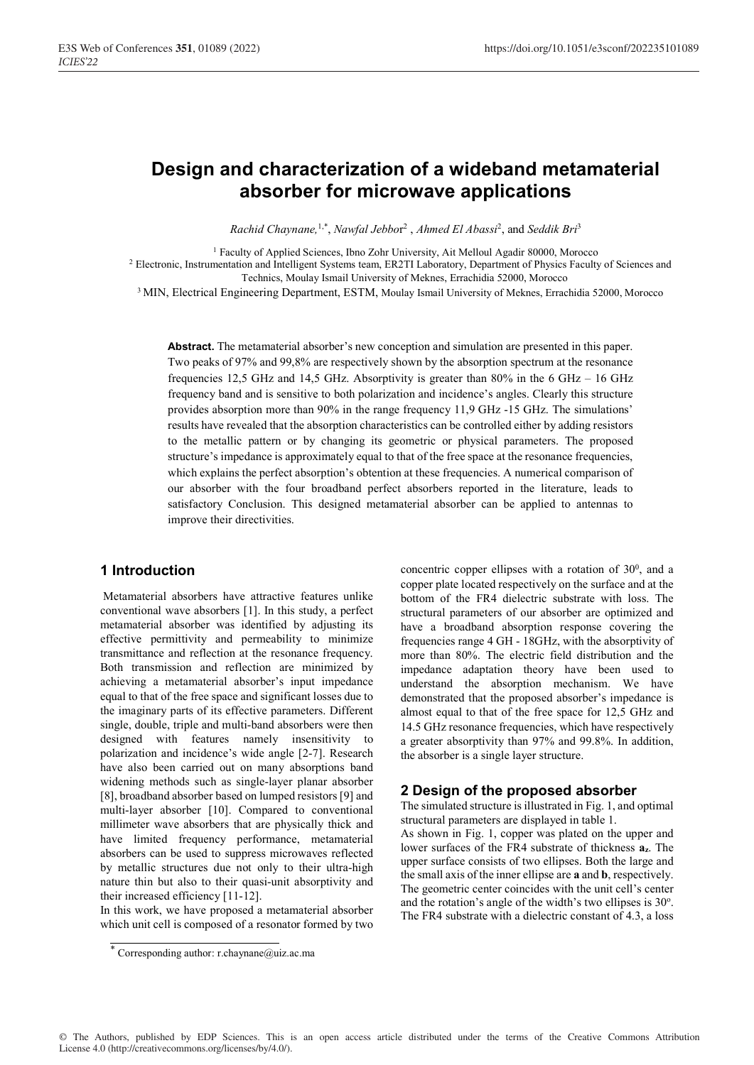# **Design and characterization of a wideband metamaterial absorber for microwave applications**

*Rachid Chaynane,*1,\*, *Nawfal Jebbo*r 2 , *Ahmed El Abassi*<sup>2</sup> , and *Seddik Bri*<sup>3</sup>

<sup>1</sup> Faculty of Applied Sciences, Ibno Zohr University, Ait Melloul Agadir 80000, Morocco <sup>2</sup> Electronic, Instrumentation and Intelligent Systems team, ER2TI Laboratory, Department of Physics Faculty of Sciences and Technics, Moulay Ismail University of Meknes, Errachidia 52000, Morocco

<sup>3</sup> MIN, Electrical Engineering Department, ESTM, Moulay Ismail University of Meknes, Errachidia 52000, Morocco

**Abstract.** The metamaterial absorber's new conception and simulation are presented in this paper. Two peaks of 97% and 99,8% are respectively shown by the absorption spectrum at the resonance frequencies 12,5 GHz and 14,5 GHz. Absorptivity is greater than 80% in the 6 GHz – 16 GHz frequency band and is sensitive to both polarization and incidence's angles. Clearly this structure provides absorption more than 90% in the range frequency 11,9 GHz -15 GHz. The simulations' results have revealed that the absorption characteristics can be controlled either by adding resistors to the metallic pattern or by changing its geometric or physical parameters. The proposed structure's impedance is approximately equal to that of the free space at the resonance frequencies, which explains the perfect absorption's obtention at these frequencies. A numerical comparison of our absorber with the four broadband perfect absorbers reported in the literature, leads to satisfactory Conclusion. This designed metamaterial absorber can be applied to antennas to improve their directivities.

## **1 Introduction**

 Metamaterial absorbers have attractive features unlike conventional wave absorbers [1]. In this study, a perfect metamaterial absorber was identified by adjusting its effective permittivity and permeability to minimize transmittance and reflection at the resonance frequency. Both transmission and reflection are minimized by achieving a metamaterial absorber's input impedance equal to that of the free space and significant losses due to the imaginary parts of its effective parameters. Different single, double, triple and multi-band absorbers were then designed with features namely insensitivity to polarization and incidence's wide angle [2-7]. Research have also been carried out on many absorptions band widening methods such as single-layer planar absorber [8], broadband absorber based on lumped resistors [9] and multi-layer absorber [10]. Compared to conventional millimeter wave absorbers that are physically thick and have limited frequency performance, metamaterial absorbers can be used to suppress microwaves reflected by metallic structures due not only to their ultra-high nature thin but also to their quasi-unit absorptivity and their increased efficiency [11-12].

In this work, we have proposed a metamaterial absorber which unit cell is composed of a resonator formed by two

concentric copper ellipses with a rotation of  $30^0$ , and a copper plate located respectively on the surface and at the bottom of the FR4 dielectric substrate with loss. The structural parameters of our absorber are optimized and have a broadband absorption response covering the frequencies range 4 GH - 18GHz, with the absorptivity of more than 80%. The electric field distribution and the impedance adaptation theory have been used to understand the absorption mechanism. We have demonstrated that the proposed absorber's impedance is almost equal to that of the free space for 12,5 GHz and 14.5 GHz resonance frequencies, which have respectively a greater absorptivity than 97% and 99.8%. In addition, the absorber is a single layer structure.

## **2 Design of the proposed absorber**

The simulated structure is illustrated in Fig. 1, and optimal structural parameters are displayed in table 1.

As shown in Fig. 1, copper was plated on the upper and lower surfaces of the FR4 substrate of thickness **az**. The upper surface consists of two ellipses. Both the large and the small axis of the inner ellipse are **a** and **b**, respectively. The geometric center coincides with the unit cell's center and the rotation's angle of the width's two ellipses is 30°. The FR4 substrate with a dielectric constant of 4.3, a loss

<sup>\*</sup> Corresponding author: r.chaynane@uiz.ac.ma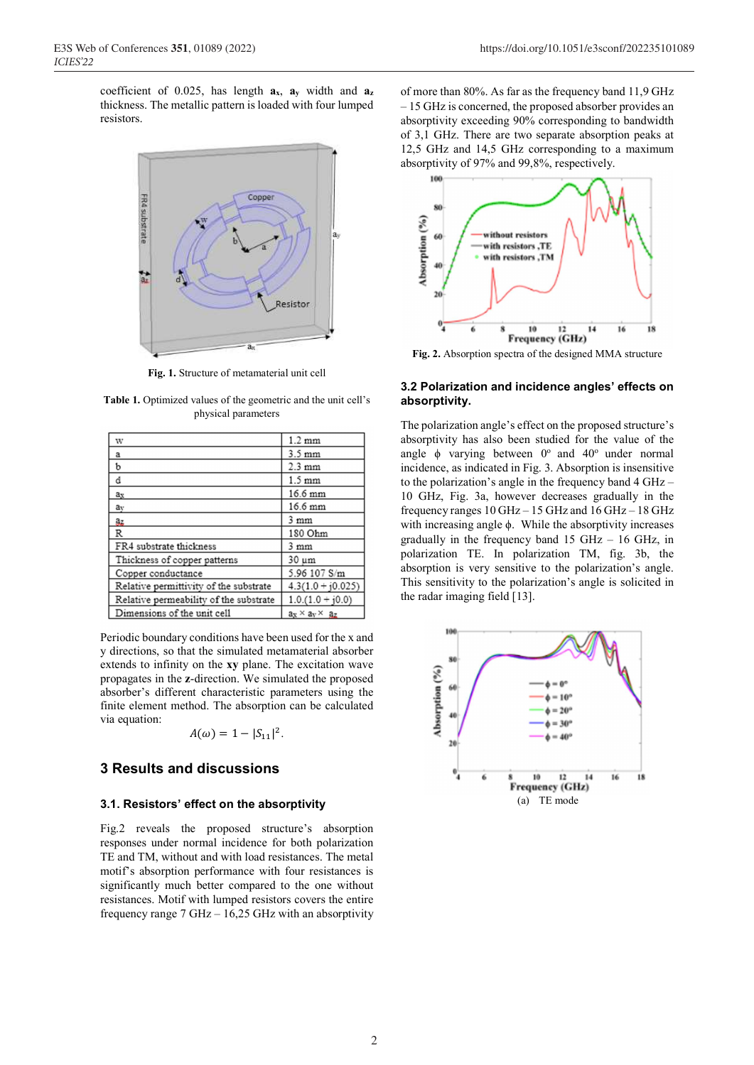coefficient of 0.025, has length  $a_x$ ,  $a_y$  width and  $a_z$ thickness. The metallic pattern is loaded with four lumped resistors.



**Fig. 1.** Structure of metamaterial unit cell

**Table 1.** Optimized values of the geometric and the unit cell's physical parameters

| W                                      | $1.2 \text{ mm}$            |
|----------------------------------------|-----------------------------|
| a                                      | $3.5 \text{ mm}$            |
| b                                      | $2.3 \text{ mm}$            |
| d                                      | $1.5 \text{ mm}$            |
| ax                                     | $16.6 \text{ mm}$           |
| av                                     | 16.6 mm                     |
| az                                     | $3 \text{ mm}$              |
| $\mathbb{R}$                           | 180 Ohm                     |
| FR4 substrate thickness                | 3mm                         |
| Thickness of copper patterns           | 30 um                       |
| Copper conductance                     | 5.96 107 S/m                |
| Relative permittivity of the substrate | $4.3(1.0 + i0.025)$         |
| Relative permeability of the substrate | $1.0.(1.0 + j0.0)$          |
| Dimensions of the unit cell            | $a_X \times a_V \times a_Z$ |

Periodic boundary conditions have been used for the x and y directions, so that the simulated metamaterial absorber extends to infinity on the **xy** plane. The excitation wave propagates in the **z**-direction. We simulated the proposed absorber's different characteristic parameters using the finite element method. The absorption can be calculated via equation:

$$
A(\omega)=1-|S_{11}|^2.
$$

# **3 Results and discussions**

#### **3.1. Resistors' effect on the absorptivity**

Fig.2 reveals the proposed structure's absorption responses under normal incidence for both polarization TE and TM, without and with load resistances. The metal motif's absorption performance with four resistances is significantly much better compared to the one without resistances. Motif with lumped resistors covers the entire frequency range 7 GHz – 16,25 GHz with an absorptivity

of more than 80%. As far as the frequency band 11,9 GHz – 15 GHz is concerned, the proposed absorber provides an absorptivity exceeding 90% corresponding to bandwidth of 3,1 GHz. There are two separate absorption peaks at 12,5 GHz and 14,5 GHz corresponding to a maximum absorptivity of 97% and 99,8%, respectively.



**Fig. 2.** Absorption spectra of the designed MMA structure

#### **3.2 Polarization and incidence angles' effects on absorptivity.**

The polarization angle's effect on the proposed structure's absorptivity has also been studied for the value of the angle  $\phi$  varying between  $0^{\circ}$  and  $40^{\circ}$  under normal incidence, as indicated in Fig. 3. Absorption is insensitive to the polarization's angle in the frequency band 4 GHz – 10 GHz, Fig. 3a, however decreases gradually in the frequency ranges  $10 \text{ GHz} - 15 \text{ GHz}$  and  $16 \text{ GHz} - 18 \text{ GHz}$ with increasing angle ϕ. While the absorptivity increases gradually in the frequency band  $15$  GHz –  $16$  GHz, in polarization TE. In polarization TM, fig. 3b, the absorption is very sensitive to the polarization's angle. This sensitivity to the polarization's angle is solicited in the radar imaging field [13].

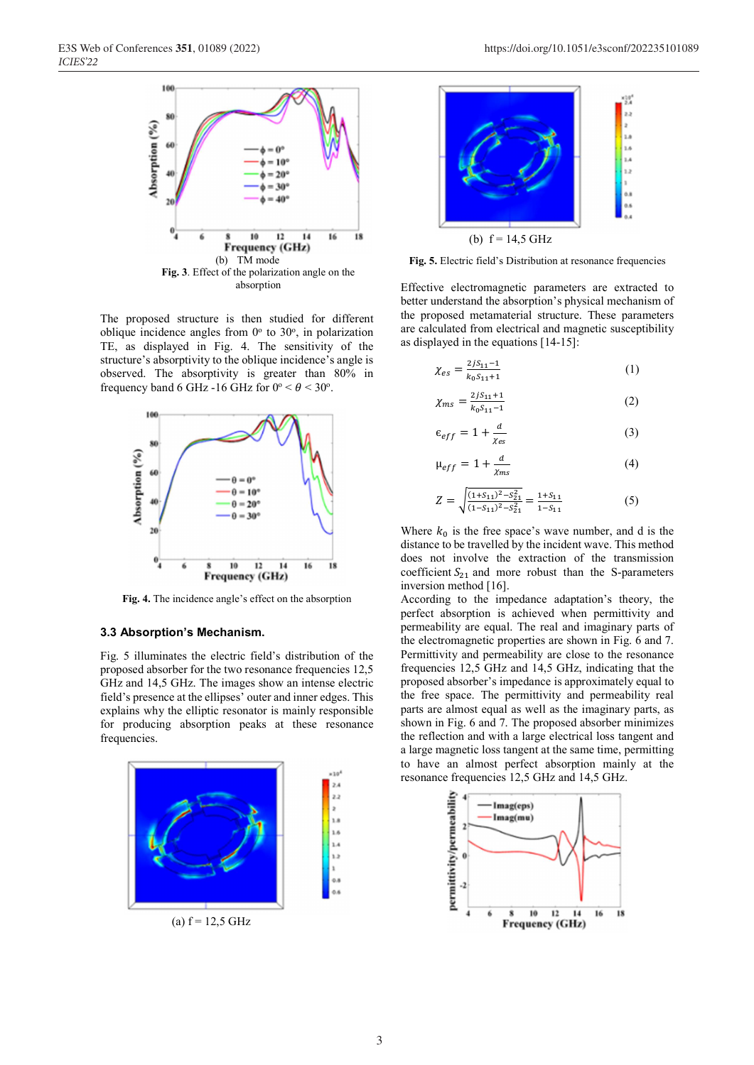

The proposed structure is then studied for different oblique incidence angles from  $0^{\circ}$  to  $30^{\circ}$ , in polarization TE, as displayed in Fig. 4. The sensitivity of the structure's absorptivity to the oblique incidence's angle is observed. The absorptivity is greater than 80% in frequency band 6 GHz -16 GHz for  $0^{\circ} < \theta < 30^{\circ}$ .



**Fig. 4.** The incidence angle's effect on the absorption

## **3.3 Absorption's Mechanism.**

Fig. 5 illuminates the electric field's distribution of the proposed absorber for the two resonance frequencies 12,5 GHz and 14,5 GHz. The images show an intense electric field's presence at the ellipses' outer and inner edges. This explains why the elliptic resonator is mainly responsible for producing absorption peaks at these resonance frequencies.



(a)  $f = 12,5$  GHz



**Fig. 5.** Electric field's Distribution at resonance frequencies

Effective electromagnetic parameters are extracted to better understand the absorption's physical mechanism of the proposed metamaterial structure. These parameters are calculated from electrical and magnetic susceptibility as displayed in the equations [14-15]:

$$
\chi_{es} = \frac{2jS_{11}-1}{k_0S_{11}+1} \tag{1}
$$

$$
\chi_{ms} = \frac{2jS_{11}+1}{k_0S_{11}-1}
$$
 (2)

$$
\epsilon_{eff} = 1 + \frac{d}{\chi_{es}} \tag{3}
$$

$$
\mu_{eff} = 1 + \frac{d}{\chi_{ms}}\tag{4}
$$

$$
Z = \sqrt{\frac{(1 + S_{11})^2 - S_{21}^2}{(1 - S_{11})^2 - S_{21}^2}} = \frac{1 + S_{11}}{1 - S_{11}}
$$
(5)

Where  $k_0$  is the free space's wave number, and d is the distance to be travelled by the incident wave. This method does not involve the extraction of the transmission coefficient  $S_{21}$  and more robust than the S-parameters inversion method [16].

According to the impedance adaptation's theory, the perfect absorption is achieved when permittivity and permeability are equal. The real and imaginary parts of the electromagnetic properties are shown in Fig. 6 and 7. Permittivity and permeability are close to the resonance frequencies 12,5 GHz and 14,5 GHz, indicating that the proposed absorber's impedance is approximately equal to the free space. The permittivity and permeability real parts are almost equal as well as the imaginary parts, as shown in Fig. 6 and 7. The proposed absorber minimizes the reflection and with a large electrical loss tangent and a large magnetic loss tangent at the same time, permitting to have an almost perfect absorption mainly at the resonance frequencies 12,5 GHz and 14,5 GHz.